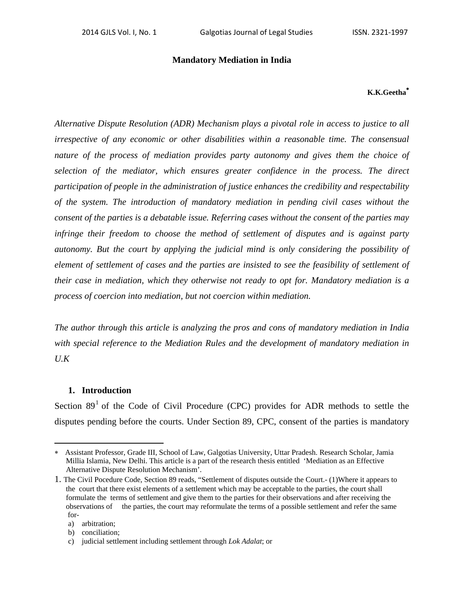## **Mandatory Mediation in India**

## **K.K.Geetha**<sup>∗</sup>

*Alternative Dispute Resolution (ADR) Mechanism plays a pivotal role in access to justice to all irrespective of any economic or other disabilities within a reasonable time. The consensual nature of the process of mediation provides party autonomy and gives them the choice of selection of the mediator, which ensures greater confidence in the process. The direct participation of people in the administration of justice enhances the credibility and respectability of the system. The introduction of mandatory mediation in pending civil cases without the consent of the parties is a debatable issue. Referring cases without the consent of the parties may*  infringe their freedom to choose the method of settlement of disputes and is against party *autonomy. But the court by applying the judicial mind is only considering the possibility of element of settlement of cases and the parties are insisted to see the feasibility of settlement of their case in mediation, which they otherwise not ready to opt for. Mandatory mediation is a process of coercion into mediation, but not coercion within mediation.* 

*The author through this article is analyzing the pros and cons of mandatory mediation in India with special reference to the Mediation Rules and the development of mandatory mediation in U.K* 

## **1. Introduction**

Section  $89<sup>1</sup>$  of the Code of Civil Procedure (CPC) provides for ADR methods to settle the disputes pending before the courts. Under Section 89, CPC, consent of the parties is mandatory

<sup>∗</sup> Assistant Professor, Grade III, School of Law, Galgotias University, Uttar Pradesh. Research Scholar, Jamia Millia Islamia, New Delhi. This article is a part of the research thesis entitled 'Mediation as an Effective Alternative Dispute Resolution Mechanism'.

<sup>1.</sup> The Civil Pocedure Code, Section 89 reads, "Settlement of disputes outside the Court.- (1)Where it appears to the court that there exist elements of a settlement which may be acceptable to the parties, the court shall formulate the terms of settlement and give them to the parties for their observations and after receiving the observations of the parties, the court may reformulate the terms of a possible settlement and refer the same for-

a) arbitration;

b) conciliation;

c) judicial settlement including settlement through *Lok Adalat*; or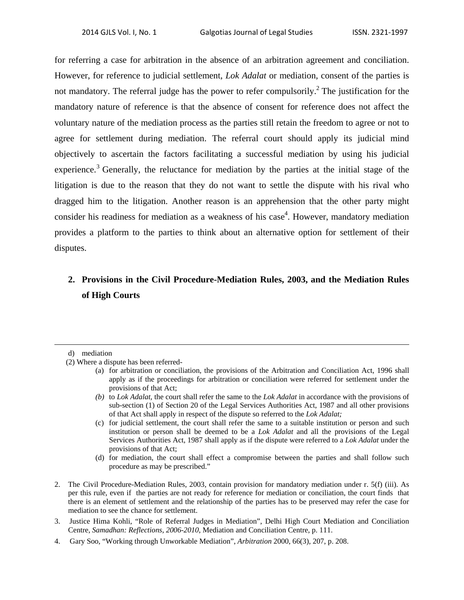for referring a case for arbitration in the absence of an arbitration agreement and conciliation. However, for reference to judicial settlement, *Lok Adalat* or mediation, consent of the parties is not mandatory. The referral judge has the power to refer compulsorily.<sup>2</sup> The justification for the mandatory nature of reference is that the absence of consent for reference does not affect the voluntary nature of the mediation process as the parties still retain the freedom to agree or not to agree for settlement during mediation. The referral court should apply its judicial mind objectively to ascertain the factors facilitating a successful mediation by using his judicial experience.<sup>3</sup> Generally, the reluctance for mediation by the parties at the initial stage of the litigation is due to the reason that they do not want to settle the dispute with his rival who dragged him to the litigation. Another reason is an apprehension that the other party might consider his readiness for mediation as a weakness of his case<sup>4</sup>. However, mandatory mediation provides a platform to the parties to think about an alternative option for settlement of their disputes.

# **2. Provisions in the Civil Procedure-Mediation Rules, 2003, and the Mediation Rules of High Courts**

<u> 1989 - Johann Stein, marwolaethau a gweledydd a ganlad y ganlad y ganlad y ganlad y ganlad y ganlad y ganlad</u>

- (a) for arbitration or conciliation, the provisions of the Arbitration and Conciliation Act, 1996 shall apply as if the proceedings for arbitration or conciliation were referred for settlement under the provisions of that Act;
- *(b)* to *Lok Adalat,* the court shall refer the same to the *Lok Adalat* in accordance with the provisions of sub-section (1) of Section 20 of the Legal Services Authorities Act, 1987 and all other provisions of that Act shall apply in respect of the dispute so referred to the *Lok Adalat;*
- (c) for judicial settlement, the court shall refer the same to a suitable institution or person and such institution or person shall be deemed to be a *Lok Adalat* and all the provisions of the Legal Services Authorities Act, 1987 shall apply as if the dispute were referred to a *Lok Adalat* under the provisions of that Act;
- (d) for mediation, the court shall effect a compromise between the parties and shall follow such procedure as may be prescribed."
- 2. The Civil Procedure-Mediation Rules, 2003, contain provision for mandatory mediation under r. 5(f) (iii). As per this rule, even if the parties are not ready for reference for mediation or conciliation, the court finds that there is an element of settlement and the relationship of the parties has to be preserved may refer the case for mediation to see the chance for settlement.
- 3. Justice Hima Kohli, "Role of Referral Judges in Mediation", Delhi High Court Mediation and Conciliation Centre, *Samadhan: Reflections, 2006-2010*, Mediation and Conciliation Centre, p. 111.
- 4. Gary Soo, "Working through Unworkable Mediation", *Arbitration* 2000, 66(3), 207, p. 208.

d) mediation

 <sup>(2)</sup> Where a dispute has been referred-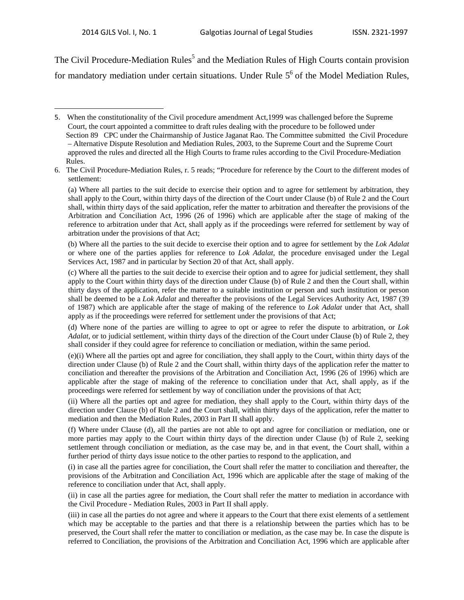The Civil Procedure-Mediation Rules<sup>5</sup> and the Mediation Rules of High Courts contain provision for mandatory mediation under certain situations. Under Rule  $5<sup>6</sup>$  of the Model Mediation Rules,

(b) Where all the parties to the suit decide to exercise their option and to agree for settlement by the *Lok Adalat* or where one of the parties applies for reference to *Lok Adalat*, the procedure envisaged under the Legal Services Act, 1987 and in particular by Section 20 of that Act, shall apply.

(c) Where all the parties to the suit decide to exercise their option and to agree for judicial settlement, they shall apply to the Court within thirty days of the direction under Clause (b) of Rule 2 and then the Court shall, within thirty days of the application, refer the matter to a suitable institution or person and such institution or person shall be deemed to be a *Lok Adalat* and thereafter the provisions of the Legal Services Authority Act, 1987 (39 of 1987) which are applicable after the stage of making of the reference to *Lok Adalat* under that Act, shall apply as if the proceedings were referred for settlement under the provisions of that Act;

(d) Where none of the parties are willing to agree to opt or agree to refer the dispute to arbitration, or *Lok Adalat*, or to judicial settlement, within thirty days of the direction of the Court under Clause (b) of Rule 2, they shall consider if they could agree for reference to conciliation or mediation, within the same period.

(e)(i) Where all the parties opt and agree for conciliation, they shall apply to the Court, within thirty days of the direction under Clause (b) of Rule 2 and the Court shall, within thirty days of the application refer the matter to conciliation and thereafter the provisions of the Arbitration and Conciliation Act, 1996 (26 of 1996) which are applicable after the stage of making of the reference to conciliation under that Act, shall apply, as if the proceedings were referred for settlement by way of conciliation under the provisions of that Act;

(ii) Where all the parties opt and agree for mediation, they shall apply to the Court, within thirty days of the direction under Clause (b) of Rule 2 and the Court shall, within thirty days of the application, refer the matter to mediation and then the Mediation Rules, 2003 in Part II shall apply.

(f) Where under Clause (d), all the parties are not able to opt and agree for conciliation or mediation, one or more parties may apply to the Court within thirty days of the direction under Clause (b) of Rule 2, seeking settlement through conciliation or mediation, as the case may be, and in that event, the Court shall, within a further period of thirty days issue notice to the other parties to respond to the application, and

 (i) in case all the parties agree for conciliation, the Court shall refer the matter to conciliation and thereafter, the provisions of the Arbitration and Conciliation Act, 1996 which are applicable after the stage of making of the reference to conciliation under that Act, shall apply.

(ii) in case all the parties agree for mediation, the Court shall refer the matter to mediation in accordance with the Civil Procedure - Mediation Rules, 2003 in Part II shall apply.

(iii) in case all the parties do not agree and where it appears to the Court that there exist elements of a settlement which may be acceptable to the parties and that there is a relationship between the parties which has to be preserved, the Court shall refer the matter to conciliation or mediation, as the case may be. In case the dispute is referred to Conciliation, the provisions of the Arbitration and Conciliation Act, 1996 which are applicable after

<sup>5.</sup> When the constitutionality of the Civil procedure amendment Act,1999 was challenged before the Supreme Court, the court appointed a committee to draft rules dealing with the procedure to be followed under Section 89 CPC under the Chairmanship of Justice Jaganat Rao. The Committee submitted the Civil Procedure – Alternative Dispute Resolution and Mediation Rules, 2003, to the Supreme Court and the Supreme Court approved the rules and directed all the High Courts to frame rules according to the Civil Procedure-Mediation Rules.

<sup>6.</sup> The Civil Procedure-Mediation Rules, r. 5 reads; "Procedure for reference by the Court to the different modes of settlement:

<sup>(</sup>a) Where all parties to the suit decide to exercise their option and to agree for settlement by arbitration, they shall apply to the Court, within thirty days of the direction of the Court under Clause (b) of Rule 2 and the Court shall, within thirty days of the said application, refer the matter to arbitration and thereafter the provisions of the Arbitration and Conciliation Act, 1996 (26 of 1996) which are applicable after the stage of making of the reference to arbitration under that Act, shall apply as if the proceedings were referred for settlement by way of arbitration under the provisions of that Act;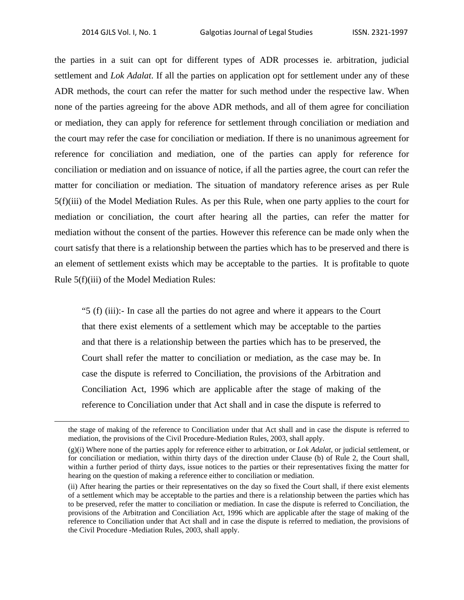the parties in a suit can opt for different types of ADR processes ie. arbitration, judicial settlement and *Lok Adalat*. If all the parties on application opt for settlement under any of these ADR methods, the court can refer the matter for such method under the respective law. When none of the parties agreeing for the above ADR methods, and all of them agree for conciliation or mediation, they can apply for reference for settlement through conciliation or mediation and the court may refer the case for conciliation or mediation. If there is no unanimous agreement for reference for conciliation and mediation, one of the parties can apply for reference for conciliation or mediation and on issuance of notice, if all the parties agree, the court can refer the matter for conciliation or mediation. The situation of mandatory reference arises as per Rule 5(f)(iii) of the Model Mediation Rules. As per this Rule, when one party applies to the court for mediation or conciliation, the court after hearing all the parties, can refer the matter for mediation without the consent of the parties. However this reference can be made only when the court satisfy that there is a relationship between the parties which has to be preserved and there is an element of settlement exists which may be acceptable to the parties. It is profitable to quote Rule 5(f)(iii) of the Model Mediation Rules:

"5 (f) (iii):- In case all the parties do not agree and where it appears to the Court that there exist elements of a settlement which may be acceptable to the parties and that there is a relationship between the parties which has to be preserved, the Court shall refer the matter to conciliation or mediation, as the case may be. In case the dispute is referred to Conciliation, the provisions of the Arbitration and Conciliation Act, 1996 which are applicable after the stage of making of the reference to Conciliation under that Act shall and in case the dispute is referred to

<u> 1989 - Johann Stein, marwolaethau a gweledydd a ganlad y ganlad y ganlad y ganlad y ganlad y ganlad y ganlad</u>

the stage of making of the reference to Conciliation under that Act shall and in case the dispute is referred to mediation, the provisions of the Civil Procedure-Mediation Rules, 2003, shall apply.

<sup>(</sup>g)(i) Where none of the parties apply for reference either to arbitration, or *Lok Adalat*, or judicial settlement, or for conciliation or mediation, within thirty days of the direction under Clause (b) of Rule 2, the Court shall, within a further period of thirty days, issue notices to the parties or their representatives fixing the matter for hearing on the question of making a reference either to conciliation or mediation.

<sup>(</sup>ii) After hearing the parties or their representatives on the day so fixed the Court shall, if there exist elements of a settlement which may be acceptable to the parties and there is a relationship between the parties which has to be preserved, refer the matter to conciliation or mediation. In case the dispute is referred to Conciliation, the provisions of the Arbitration and Conciliation Act, 1996 which are applicable after the stage of making of the reference to Conciliation under that Act shall and in case the dispute is referred to mediation, the provisions of the Civil Procedure -Mediation Rules, 2003, shall apply.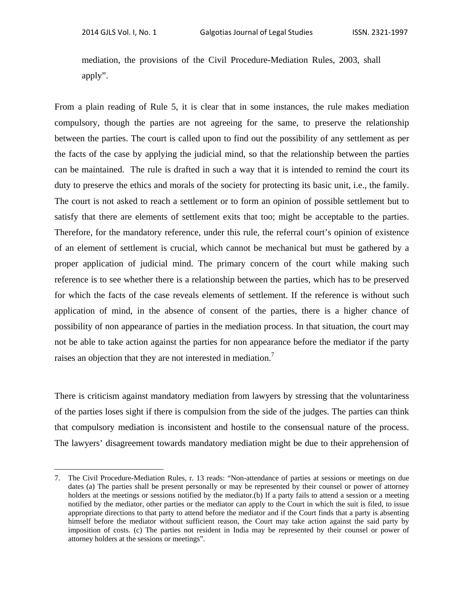mediation, the provisions of the Civil Procedure-Mediation Rules, 2003, shall apply".

From a plain reading of Rule 5, it is clear that in some instances, the rule makes mediation compulsory, though the parties are not agreeing for the same, to preserve the relationship between the parties. The court is called upon to find out the possibility of any settlement as per the facts of the case by applying the judicial mind, so that the relationship between the parties can be maintained. The rule is drafted in such a way that it is intended to remind the court its duty to preserve the ethics and morals of the society for protecting its basic unit, i.e., the family. The court is not asked to reach a settlement or to form an opinion of possible settlement but to satisfy that there are elements of settlement exits that too; might be acceptable to the parties. Therefore, for the mandatory reference, under this rule, the referral court's opinion of existence of an element of settlement is crucial, which cannot be mechanical but must be gathered by a proper application of judicial mind. The primary concern of the court while making such reference is to see whether there is a relationship between the parties, which has to be preserved for which the facts of the case reveals elements of settlement. If the reference is without such application of mind, in the absence of consent of the parties, there is a higher chance of possibility of non appearance of parties in the mediation process. In that situation, the court may not be able to take action against the parties for non appearance before the mediator if the party raises an objection that they are not interested in mediation.<sup>7</sup>

There is criticism against mandatory mediation from lawyers by stressing that the voluntariness of the parties loses sight if there is compulsion from the side of the judges. The parties can think that compulsory mediation is inconsistent and hostile to the consensual nature of the process. The lawyers' disagreement towards mandatory mediation might be due to their apprehension of

<sup>7.</sup> The Civil Procedure-Mediation Rules, r. 13 reads: "Non-attendance of parties at sessions or meetings on due dates (a) The parties shall be present personally or may be represented by their counsel or power of attorney holders at the meetings or sessions notified by the mediator.(b) If a party fails to attend a session or a meeting notified by the mediator, other parties or the mediator can apply to the Court in which the suit is filed, to issue appropriate directions to that party to attend before the mediator and if the Court finds that a party is absenting himself before the mediator without sufficient reason, the Court may take action against the said party by imposition of costs. (c) The parties not resident in India may be represented by their counsel or power of attorney holders at the sessions or meetings".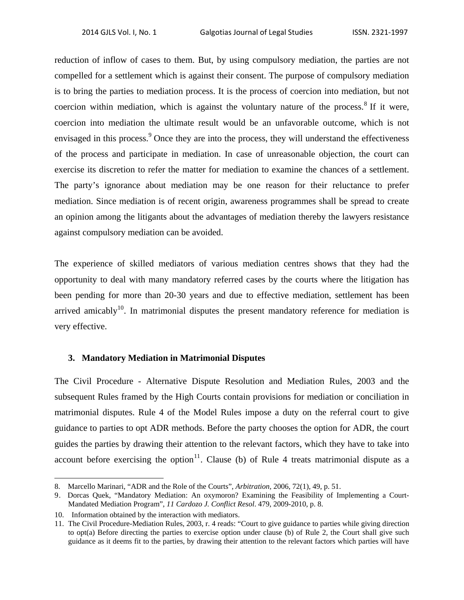reduction of inflow of cases to them. But, by using compulsory mediation, the parties are not compelled for a settlement which is against their consent. The purpose of compulsory mediation is to bring the parties to mediation process. It is the process of coercion into mediation, but not coercion within mediation, which is against the voluntary nature of the process.<sup>8</sup> If it were, coercion into mediation the ultimate result would be an unfavorable outcome, which is not envisaged in this process.<sup>9</sup> Once they are into the process, they will understand the effectiveness of the process and participate in mediation. In case of unreasonable objection, the court can exercise its discretion to refer the matter for mediation to examine the chances of a settlement. The party's ignorance about mediation may be one reason for their reluctance to prefer mediation. Since mediation is of recent origin, awareness programmes shall be spread to create an opinion among the litigants about the advantages of mediation thereby the lawyers resistance against compulsory mediation can be avoided.

The experience of skilled mediators of various mediation centres shows that they had the opportunity to deal with many mandatory referred cases by the courts where the litigation has been pending for more than 20-30 years and due to effective mediation, settlement has been arrived amicably<sup>10</sup>. In matrimonial disputes the present mandatory reference for mediation is very effective.

### **3. Mandatory Mediation in Matrimonial Disputes**

The Civil Procedure - Alternative Dispute Resolution and Mediation Rules, 2003 and the subsequent Rules framed by the High Courts contain provisions for mediation or conciliation in matrimonial disputes. Rule 4 of the Model Rules impose a duty on the referral court to give guidance to parties to opt ADR methods. Before the party chooses the option for ADR, the court guides the parties by drawing their attention to the relevant factors, which they have to take into account before exercising the option<sup>11</sup>. Clause (b) of Rule 4 treats matrimonial dispute as a

<sup>8.</sup> Marcello Marinari, "ADR and the Role of the Courts", *Arbitration,* 2006, 72(1), 49, p. 51.

<sup>9.</sup> Dorcas Quek, "Mandatory Mediation: An oxymoron? Examining the Feasibility of Implementing a Court-Mandated Mediation Program", *11 Cardozo J. Conflict Resol*. 479, 2009-2010, p. 8.

<sup>10.</sup> Information obtained by the interaction with mediators.

<sup>11.</sup> The Civil Procedure-Mediation Rules, 2003, r. 4 reads: "Court to give guidance to parties while giving direction to opt(a) Before directing the parties to exercise option under clause (b) of Rule 2, the Court shall give such guidance as it deems fit to the parties, by drawing their attention to the relevant factors which parties will have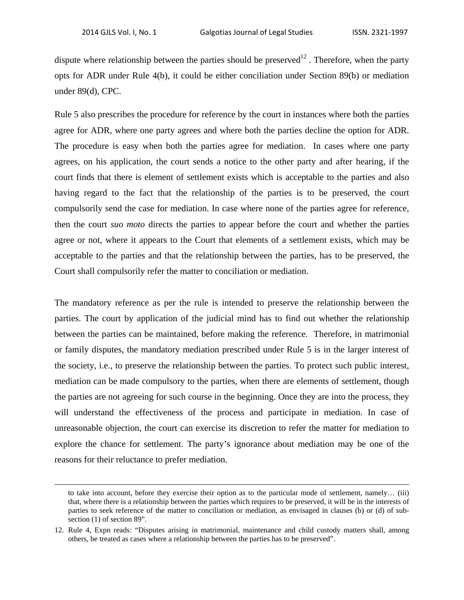dispute where relationship between the parties should be preserved<sup>12</sup>. Therefore, when the party opts for ADR under Rule 4(b), it could be either conciliation under Section 89(b) or mediation under 89(d), CPC.

Rule 5 also prescribes the procedure for reference by the court in instances where both the parties agree for ADR, where one party agrees and where both the parties decline the option for ADR. The procedure is easy when both the parties agree for mediation. In cases where one party agrees, on his application, the court sends a notice to the other party and after hearing, if the court finds that there is element of settlement exists which is acceptable to the parties and also having regard to the fact that the relationship of the parties is to be preserved, the court compulsorily send the case for mediation. In case where none of the parties agree for reference, then the court *suo moto* directs the parties to appear before the court and whether the parties agree or not, where it appears to the Court that elements of a settlement exists, which may be acceptable to the parties and that the relationship between the parties, has to be preserved, the Court shall compulsorily refer the matter to conciliation or mediation.

The mandatory reference as per the rule is intended to preserve the relationship between the parties. The court by application of the judicial mind has to find out whether the relationship between the parties can be maintained, before making the reference. Therefore, in matrimonial or family disputes, the mandatory mediation prescribed under Rule 5 is in the larger interest of the society, i.e., to preserve the relationship between the parties. To protect such public interest, mediation can be made compulsory to the parties, when there are elements of settlement, though the parties are not agreeing for such course in the beginning. Once they are into the process, they will understand the effectiveness of the process and participate in mediation. In case of unreasonable objection, the court can exercise its discretion to refer the matter for mediation to explore the chance for settlement. The party's ignorance about mediation may be one of the reasons for their reluctance to prefer mediation.

<u> 1989 - Johann Stein, marwolaethau a gweledydd a ganlad y ganlad y ganlad y ganlad y ganlad y ganlad y ganlad</u>

to take into account, before they exercise their option as to the particular mode of settlement, namely… (iii) that, where there is a relationship between the parties which requires to be preserved, it will be in the interests of parties to seek reference of the matter to conciliation or mediation, as envisaged in clauses (b) or (d) of subsection (1) of section 89".

<sup>12.</sup> Rule 4, Expn reads: "Disputes arising in matrimonial, maintenance and child custody matters shall, among others, be treated as cases where a relationship between the parties has to be preserved".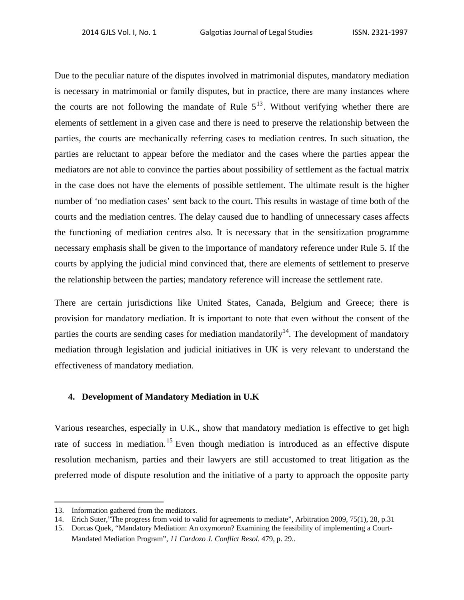Due to the peculiar nature of the disputes involved in matrimonial disputes, mandatory mediation is necessary in matrimonial or family disputes, but in practice, there are many instances where the courts are not following the mandate of Rule  $5<sup>13</sup>$ . Without verifying whether there are elements of settlement in a given case and there is need to preserve the relationship between the parties, the courts are mechanically referring cases to mediation centres. In such situation, the parties are reluctant to appear before the mediator and the cases where the parties appear the mediators are not able to convince the parties about possibility of settlement as the factual matrix in the case does not have the elements of possible settlement. The ultimate result is the higher number of 'no mediation cases' sent back to the court. This results in wastage of time both of the courts and the mediation centres. The delay caused due to handling of unnecessary cases affects the functioning of mediation centres also. It is necessary that in the sensitization programme necessary emphasis shall be given to the importance of mandatory reference under Rule 5. If the courts by applying the judicial mind convinced that, there are elements of settlement to preserve the relationship between the parties; mandatory reference will increase the settlement rate.

There are certain jurisdictions like United States, Canada, Belgium and Greece; there is provision for mandatory mediation. It is important to note that even without the consent of the parties the courts are sending cases for mediation mandatorily<sup>14</sup>. The development of mandatory mediation through legislation and judicial initiatives in UK is very relevant to understand the effectiveness of mandatory mediation.

## **4. Development of Mandatory Mediation in U.K**

Various researches, especially in U.K., show that mandatory mediation is effective to get high rate of success in mediation.<sup>15</sup> Even though mediation is introduced as an effective dispute resolution mechanism, parties and their lawyers are still accustomed to treat litigation as the preferred mode of dispute resolution and the initiative of a party to approach the opposite party

<sup>13.</sup> Information gathered from the mediators.

<sup>14.</sup> Erich Suter,"The progress from void to valid for agreements to mediate", Arbitration 2009, 75(1), 28, p.31

<sup>15.</sup> Dorcas Quek, "Mandatory Mediation: An oxymoron? Examining the feasibility of implementing a Court- Mandated Mediation Program", *11 Cardozo J. Conflict Resol*. 479, p. 29..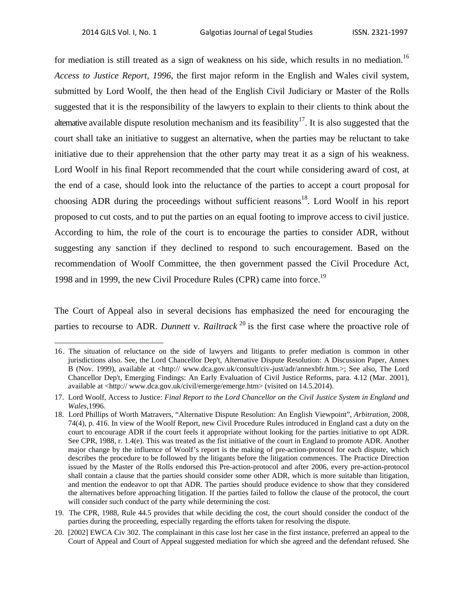for mediation is still treated as a sign of weakness on his side, which results in no mediation.<sup>16</sup> *Access to Justice Report, 1996*, the first major reform in the English and Wales civil system, submitted by Lord Woolf, the then head of the English Civil Judiciary or Master of the Rolls suggested that it is the responsibility of the lawyers to explain to their clients to think about the alternative available dispute resolution mechanism and its feasibility<sup>17</sup>. It is also suggested that the court shall take an initiative to suggest an alternative, when the parties may be reluctant to take initiative due to their apprehension that the other party may treat it as a sign of his weakness. Lord Woolf in his final Report recommended that the court while considering award of cost, at the end of a case, should look into the reluctance of the parties to accept a court proposal for choosing ADR during the proceedings without sufficient reasons<sup>18</sup>. Lord Woolf in his report proposed to cut costs, and to put the parties on an equal footing to improve access to civil justice. According to him, the role of the court is to encourage the parties to consider ADR, without suggesting any sanction if they declined to respond to such encouragement. Based on the recommendation of Woolf Committee, the then government passed the Civil Procedure Act, 1998 and in 1999, the new Civil Procedure Rules (CPR) came into force.<sup>19</sup>

The Court of Appeal also in several decisions has emphasized the need for encouraging the parties to recourse to ADR. *Dunnett v. Railtrack* <sup>20</sup> is the first case where the proactive role of

<sup>16.</sup> The situation of reluctance on the side of lawyers and litigants to prefer mediation is common in other jurisdictions also. See, the Lord Chancellor Dep't, Alternative Dispute Resolution: A Discussion Paper, Annex B (Nov. 1999), available at <http:// www.dca.gov.uk/consult/civ-just/adr/annexbfr.htm.>; See also, The Lord Chancellor Dep't, Emerging Findings: An Early Evaluation of Civil Justice Reforms, para. 4.12 (Mar. 2001), available at <http:// www.dca.gov.uk/civil/emerge/emerge.htm> (visited on 14.5.2014).

<sup>17.</sup> Lord Woolf, Access to Justice: *Final Report to the Lord Chancellor on the Civil Justice System in England and Wales*,1996.

<sup>18.</sup> Lord Phillips of Worth Matravers, "Alternative Dispute Resolution: An English Viewpoint", *Arbitration*, 2008, 74(4), p. 416. In view of the Woolf Report, new Civil Procedure Rules introduced in England cast a duty on the court to encourage ADR if the court feels it appropriate without looking for the parties initiative to opt ADR. See CPR, 1988, r. 1.4(e). This was treated as the fist initiative of the court in England to promote ADR. Another major change by the influence of Woolf's report is the making of pre-action-protocol for each dispute, which describes the procedure to be followed by the litigants before the litigation commences. The Practice Direction issued by the Master of the Rolls endorsed this Pre-action-protocol and after 2006, every pre-action-protocol shall contain a clause that the parties should consider some other ADR, which is more suitable than litigation, and mention the endeavor to opt that ADR. The parties should produce evidence to show that they considered the alternatives before approaching litigation. If the parties failed to follow the clause of the protocol, the court will consider such conduct of the party while determining the cost.

<sup>19.</sup> The CPR, 1988, Rule 44.5 provides that while deciding the cost, the court should consider the conduct of the parties during the proceeding, especially regarding the efforts taken for resolving the dispute.

<sup>20. [2002]</sup> EWCA Civ 302. The complainant in this case lost her case in the first instance, preferred an appeal to the Court of Appeal and Court of Appeal suggested mediation for which she agreed and the defendant refused. She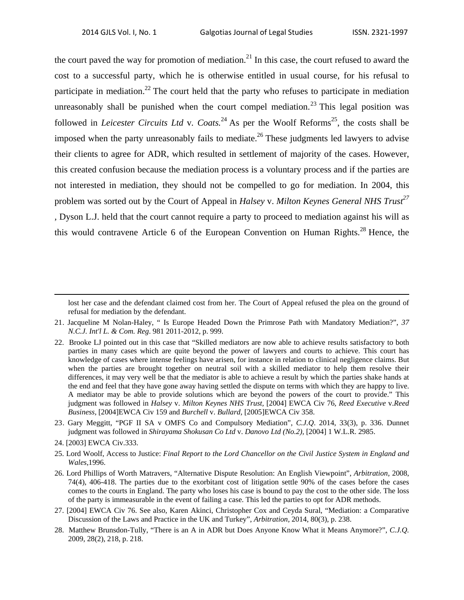the court paved the way for promotion of mediation.<sup>21</sup> In this case, the court refused to award the cost to a successful party, which he is otherwise entitled in usual course, for his refusal to participate in mediation.<sup>22</sup> The court held that the party who refuses to participate in mediation unreasonably shall be punished when the court compel mediation.<sup>23</sup> This legal position was followed in *Leicester Circuits Ltd* v. *Coats*.<sup>24</sup> As per the Woolf Reforms<sup>25</sup>, the costs shall be imposed when the party unreasonably fails to mediate.<sup>26</sup> These judgments led lawyers to advise their clients to agree for ADR, which resulted in settlement of majority of the cases. However, this created confusion because the mediation process is a voluntary process and if the parties are not interested in mediation, they should not be compelled to go for mediation. In 2004, this problem was sorted out by the Court of Appeal in *Halsey* v. *Milton Keynes General NHS Trust<sup>27</sup> ,* Dyson L.J. held that the court cannot require a party to proceed to mediation against his will as this would contravene Article 6 of the European Convention on Human Rights.<sup>28</sup> Hence, the

lost her case and the defendant claimed cost from her. The Court of Appeal refused the plea on the ground of refusal for mediation by the defendant.

21. Jacqueline M Nolan-Haley, " Is Europe Headed Down the Primrose Path with Mandatory Mediation?", *37 N.C.J. Int'l L. & Com. Reg*. 981 2011-2012, p. 999.

<u> 1989 - Johann Stein, marwolaethau a bhannaich an t-an an t-an an t-an an t-an an t-an an t-an an t-an an t-a</u>

- 22. Brooke LJ pointed out in this case that "Skilled mediators are now able to achieve results satisfactory to both parties in many cases which are quite beyond the power of lawyers and courts to achieve. This court has knowledge of cases where intense feelings have arisen, for instance in relation to clinical negligence claims. But when the parties are brought together on neutral soil with a skilled mediator to help them resolve their differences, it may very well be that the mediator is able to achieve a result by which the parties shake hands at the end and feel that they have gone away having settled the dispute on terms with which they are happy to live. A mediator may be able to provide solutions which are beyond the powers of the court to provide." This judgment was followed in *Halsey* v. *Milton Keynes NHS Trust,* [2004] EWCA Civ 76*, Reed Executive* v.*Reed Business,* [2004]EWCA Civ 159 and *Burchell* v. *Bullard,* [2005]EWCA Civ 358.
- 23. Gary Meggitt, "PGF II SA v OMFS Co and Compulsory Mediation", *C.J.Q*. 2014, 33(3), p. 336. Dunnet judgment was followed in *Shirayama Shokusan Co Ltd* v. *Danovo Ltd (No.2),* [2004] 1 W.L.R. 2985.
- 24. [2003] EWCA Civ.333.
- 25. Lord Woolf, Access to Justice: *Final Report to the Lord Chancellor on the Civil Justice System in England and Wales*,1996.
- 26. Lord Phillips of Worth Matravers, "Alternative Dispute Resolution: An English Viewpoint", *Arbitration,* 2008, 74(4), 406-418. The parties due to the exorbitant cost of litigation settle 90% of the cases before the cases comes to the courts in England. The party who loses his case is bound to pay the cost to the other side. The loss of the party is immeasurable in the event of failing a case. This led the parties to opt for ADR methods.
- 27. [2004] EWCA Civ 76. See also, Karen Akinci, Christopher Cox and Ceyda Sural, "Mediation: a Comparative Discussion of the Laws and Practice in the UK and Turkey", *Arbitration,* 2014, 80(3), p. 238.
- 28. Matthew Brunsdon-Tully, "There is an A in ADR but Does Anyone Know What it Means Anymore?", *C.J.Q.* 2009, 28(2), 218, p. 218.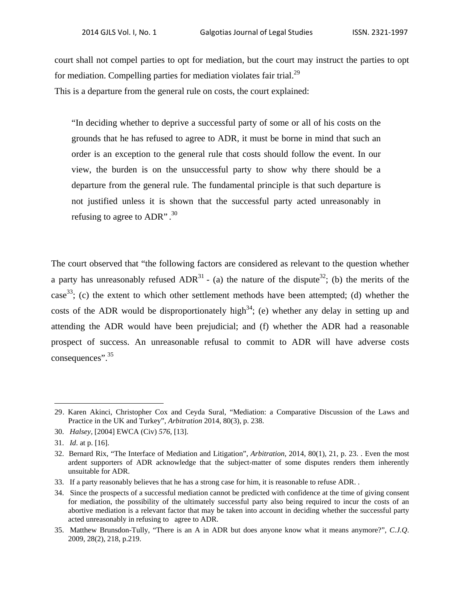court shall not compel parties to opt for mediation, but the court may instruct the parties to opt for mediation. Compelling parties for mediation violates fair trial. $^{29}$ This is a departure from the general rule on costs, the court explained:

"In deciding whether to deprive a successful party of some or all of his costs on the grounds that he has refused to agree to ADR, it must be borne in mind that such an order is an exception to the general rule that costs should follow the event. In our view, the burden is on the unsuccessful party to show why there should be a departure from the general rule. The fundamental principle is that such departure is not justified unless it is shown that the successful party acted unreasonably in refusing to agree to ADR".<sup>30</sup>

The court observed that "the following factors are considered as relevant to the question whether a party has unreasonably refused ADR<sup>31</sup> - (a) the nature of the dispute<sup>32</sup>; (b) the merits of the case<sup>33</sup>; (c) the extent to which other settlement methods have been attempted; (d) whether the costs of the ADR would be disproportionately high<sup>34</sup>; (e) whether any delay in setting up and attending the ADR would have been prejudicial; and (f) whether the ADR had a reasonable prospect of success. An unreasonable refusal to commit to ADR will have adverse costs consequences".35

<sup>29.</sup> Karen Akinci, Christopher Cox and Ceyda Sural, "Mediation: a Comparative Discussion of the Laws and Practice in the UK and Turkey", *Arbitration* 2014, 80(3), p. 238.

<sup>30.</sup> *Halsey,* [2004] EWCA (Civ) *576,* [13].

<sup>31.</sup> *Id*. at p. [16].

<sup>32.</sup> Bernard Rix, "The Interface of Mediation and Litigation", *Arbitration,* 2014, 80(1), 21, p. 23. . Even the most ardent supporters of ADR acknowledge that the subject-matter of some disputes renders them inherently unsuitable for ADR.

<sup>33.</sup> If a party reasonably believes that he has a strong case for him, it is reasonable to refuse ADR. .

<sup>34.</sup> Since the prospects of a successful mediation cannot be predicted with confidence at the time of giving consent for mediation, the possibility of the ultimately successful party also being required to incur the costs of an abortive mediation is a relevant factor that may be taken into account in deciding whether the successful party acted unreasonably in refusing to agree to ADR.

<sup>35.</sup> Matthew Brunsdon-Tully, "There is an A in ADR but does anyone know what it means anymore?", *C.J.Q*. 2009, 28(2), 218, p.219.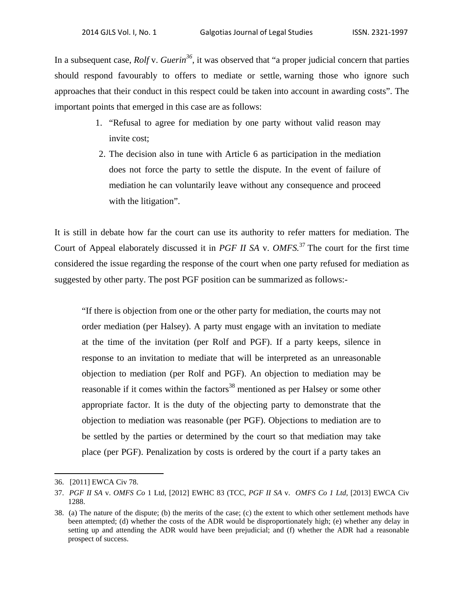In a subsequent case, *Rolf v. Guerin*<sup>36</sup>, it was observed that "a proper judicial concern that parties should respond favourably to offers to mediate or settle, warning those who ignore such approaches that their conduct in this respect could be taken into account in awarding costs". The important points that emerged in this case are as follows:

- 1. "Refusal to agree for mediation by one party without valid reason may invite cost;
- 2. The decision also in tune with Article 6 as participation in the mediation does not force the party to settle the dispute. In the event of failure of mediation he can voluntarily leave without any consequence and proceed with the litigation".

It is still in debate how far the court can use its authority to refer matters for mediation. The Court of Appeal elaborately discussed it in *PGF II SA* v. *OMFS.*<sup>37</sup> The court for the first time considered the issue regarding the response of the court when one party refused for mediation as suggested by other party. The post PGF position can be summarized as follows:-

 "If there is objection from one or the other party for mediation, the courts may not order mediation (per Halsey). A party must engage with an invitation to mediate at the time of the invitation (per Rolf and PGF). If a party keeps, silence in response to an invitation to mediate that will be interpreted as an unreasonable objection to mediation (per Rolf and PGF). An objection to mediation may be reasonable if it comes within the factors<sup>38</sup> mentioned as per Halsey or some other appropriate factor. It is the duty of the objecting party to demonstrate that the objection to mediation was reasonable (per PGF). Objections to mediation are to be settled by the parties or determined by the court so that mediation may take place (per PGF). Penalization by costs is ordered by the court if a party takes an

<sup>36. [2011]</sup> EWCA Civ 78.

<sup>37.</sup> *PGF II SA* v. *OMFS Co* 1 Ltd, [2012] EWHC 83 (TCC, *PGF II SA* v. *OMFS Co 1 Ltd,* [2013] EWCA Civ 1288.

<sup>38. (</sup>a) The nature of the dispute; (b) the merits of the case; (c) the extent to which other settlement methods have been attempted; (d) whether the costs of the ADR would be disproportionately high; (e) whether any delay in setting up and attending the ADR would have been prejudicial; and (f) whether the ADR had a reasonable prospect of success.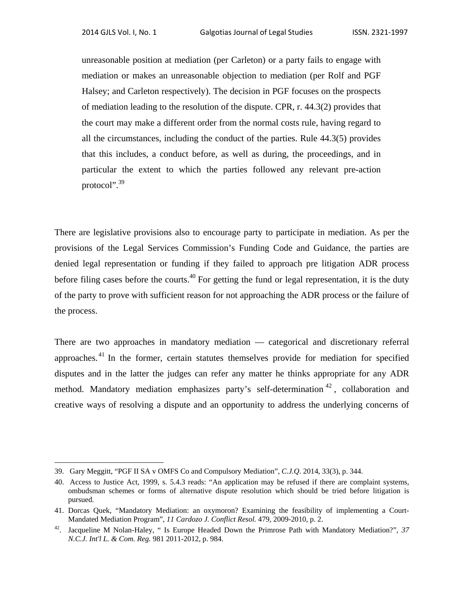unreasonable position at mediation (per Carleton) or a party fails to engage with mediation or makes an unreasonable objection to mediation (per Rolf and PGF Halsey; and Carleton respectively). The decision in PGF focuses on the prospects of mediation leading to the resolution of the dispute. CPR, r. 44.3(2) provides that the court may make a different order from the normal costs rule, having regard to all the circumstances, including the conduct of the parties. Rule 44.3(5) provides that this includes, a conduct before, as well as during, the proceedings, and in particular the extent to which the parties followed any relevant pre-action protocol".<sup>39</sup>

There are legislative provisions also to encourage party to participate in mediation. As per the provisions of the Legal Services Commission's Funding Code and Guidance, the parties are denied legal representation or funding if they failed to approach pre litigation ADR process before filing cases before the courts.<sup>40</sup> For getting the fund or legal representation, it is the duty of the party to prove with sufficient reason for not approaching the ADR process or the failure of the process.

There are two approaches in mandatory mediation — categorical and discretionary referral approaches.<sup>41</sup> In the former, certain statutes themselves provide for mediation for specified disputes and in the latter the judges can refer any matter he thinks appropriate for any ADR method. Mandatory mediation emphasizes party's self-determination  $42$ , collaboration and creative ways of resolving a dispute and an opportunity to address the underlying concerns of

<sup>39.</sup> Gary Meggitt, "PGF II SA v OMFS Co and Compulsory Mediation", *C.J.Q*. 2014, 33(3), p. 344.

<sup>40.</sup> Access to Justice Act, 1999, s. 5.4.3 reads: "An application may be refused if there are complaint systems, ombudsman schemes or forms of alternative dispute resolution which should be tried before litigation is pursued.

<sup>41.</sup> Dorcas Quek, "Mandatory Mediation: an oxymoron? Examining the feasibility of implementing a Court-Mandated Mediation Program", *11 Cardozo J. Conflict Resol.* 479, 2009-2010, p. 2.

<sup>42.</sup> Jacqueline M Nolan-Haley, " Is Europe Headed Down the Primrose Path with Mandatory Mediation?", *37 N.C.J. Int'l L. & Com. Reg.* 981 2011-2012, p. 984.